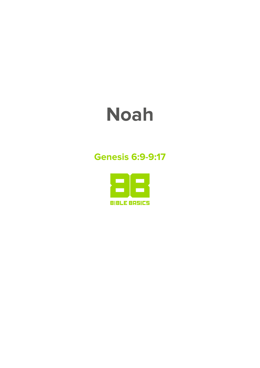# **Noah**

### **Genesis 6:9-9:17**

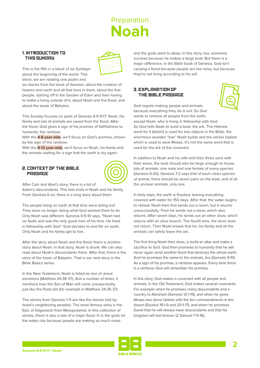# **Preparation Noah**

#### 1. INTRODUCTION TO THIS SUNDAY



This is the fifth in a block of six Sundays about the beginning of the world. This block, we are reading one psalm and

six stories from the book of Genesis: about the creation of heaven and earth and all that lives in them, about the first people, starting off in the Garden of Eden and then having to make a living outside of it, about Noah and the flood, and about the tower of Babylon.

This Sunday focuses on parts of Genesis 6:9-9:17: Noah, his family and lots of animals are saved from the flood. After the flood, God gives a sign of his promise of faithfulness to humanity: the rainbow.

With the **4-8 year-olds**, we'll focus on God's promise, shown by the sign of the rainbow.

With the **8-12 year-olds**, we'll focus on Noah, his family and the animals waiting for a sign that the earth is dry again.

#### 2. CONTEXT OF THE BIBLE **PASSAGE**



After Cain and Abel's story, there is a list of

Adam's descendants. This lists ends in Noah and his family. From Genesis 6 on, there is a long story about them.

The people living on earth at that time were doing evil. They were no longer doing what God wanted them to do. Only Noah was different. Genesis 6:9-10 says, "Noah had no faults and was the only good man of his time. He lived in fellowship with God." God decides to end life on earth. Only Noah and his family get to live.

After the story about Noah and the flood, there is another story about Noah. In that story, Noah is drunk. We can also read about Noah's descendants there. After that, there is the story of the tower of Babylon. That is our next story in the Bible Basics series.

In the New Testament, Noah is listed as one of Jesus' ancestors (Matthew 24:36-37). And a number of times, it mentions how the Son of Man will come unexpectedly, just like the flood did (for example in Matthew 24:36-37).

The stories from Genesis 1-11 are like the stories told by Israel's neighboring peoples. The most famous story is the Epic of Gilgamesh from Mesopotamia. In this collection of stories, there is also a tale of a major flood. In it, the gods let the water rise because people are making so much noise

and the gods want to sleep. In this story, too, someone survives because he makes a large boat. But there is a major difference: in the Bible book of Genesis, God isn't causing a flood because people are too noisy, but because they're not living according to his will.

#### 3. EXPLANATION OF THE BIBLE PASSAGE



God regrets making people and animals, because everything they do is evil. So God wants to remove all people from the earth,

except Noah, who is living in fellowship with God. So God tells Noah to build a boat: the ark. The Hebrew word for it (tebah) is used for two objects in the Bible: the enormous wooden "box" Noah builds and the wicker basket which is used to save Moses. It's not the same word that is used for the ark of the covenant.

In addition to Noah and his wife and their three sons with their wives, the boat should also be large enough to house lots of animals: one male and one female of every species (Genesis 6:20). Genesis 7:2 says that of each clean species of animal, there should be seven pairs on the boat, and of all the unclean animals, only one.

In forty days, the earth is flooded, leaving everything covered with water for 150 days. After that, the water begins to retreat. Noah then first sends out a raven, but it returns unsuccessfully. Then he sends out a dove, which also returns. After seven days, he sends out an other dove, which returns with an olive branch. The fourth time, the dove does not return. Then Noah knows that he, his family and all the animals can safely leave the ark.

The first thing Noah then does, is build an altar and make a sacrifice to God. God then promises to humanity that he will never again send another flood that destroys the whole earth. And he promises the same to the animals, too (Genesis 9:10). As a sign of his promise, a rainbow appears. Every time there is a rainbow, God will remember his promise.

In this story, God makes a covenant with all people and animals. In the Old Testament, God makes several covenants. For example when he promises many descendants and a country to Abraham (Genesis 12:1-19), and when he gives Moses two stone tablets with the ten commandments in the desert (Exodus 19:1-9 and 20:1-17), and when he promises David that he will always have descendants and that his kingdom will last forever (2 Samuel 7:11-16).

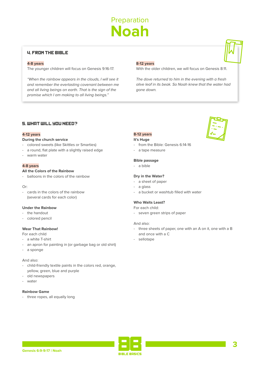# Preparation **Noah**

#### 4. FROM THE BIBLE

#### **4-8 years**

The younger children will focus on Genesis 9:16-17.

"When the rainbow appears in the clouds, I will see it and remember the everlasting covenant between me and all living beings on earth. That is the sign of the promise which I am making to all living beings."

#### **8-12 years**

With the older children, we will focus on Genesis 8:11.

The dove returned to him in the evening with a fresh olive leaf in its beak. So Noah knew that the water had gone down.

#### 5. WHAT WILL YOU NEED?

#### **4-12 years**

#### **During the church service**

- colored sweets (like Skittles or Smarties)
- a round, flat plate with a slightly raised edge
- warm water

#### **4-8 years**

#### **All the Colors of the Rainbow**

- balloons in the colors of the rainbow

#### Or:

- cards in the colors of the rainbow (several cards for each color)

#### **Under the Rainbow**

- the handout
- colored pencil

#### **Wear That Rainbow!**

For each child

- a white T-shirt
- an apron for painting in (or garbage bag or old shirt)
- a sponge

#### And also:

- child-friendly textile paints in the colors red, orange, yellow, green, blue and purple
- old newspapers
- water

#### **Rainbow Game**

- three ropes, all equally long

#### **8-12 years**

#### **It's Huge**

- from the Bible: Genesis 6:14-16
- a tape measure

#### **Bible passage**

- a bible

#### **Dry in the Water?**

- a sheet of paper
- a glass
- a bucket or washtub filled with water

#### **Who Waits Least?**

#### For each child:

- seven green strips of paper

#### And also:

- three sheets of paper, one with an A on it, one with a B and once with a C
- sellotape



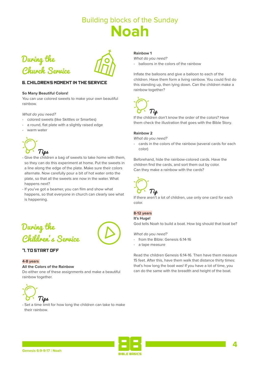



#### **6. CHILDRENS MOMENT IN THE SERVICE**

#### **So Many Beautiful Colors!**

You can use colored sweets to make your own beautiful rainbow.

What do you need?

- colored sweets (like Skittles or Smarties)
- a round, flat plate with a slightly raised edge
- warm water



- Give the children a bag of sweets to take home with them, so they can do this experiment at home. Put the sweets in a line along the edge of the plate. Make sure their colors alternate. Now carefully pour a bit of hot water onto the plate, so that all the sweets are now in the water. What happens next?
- If you've got a beamer, you can film and show what happens, so that everyone in church can clearly see what is happening.



#### 7. TO START OFF

#### **4-8 years**

#### **All the Colors of the Rainbow**

Do either one of these assignments and make a beautiful rainbow together.



- Set a time limit for how long the children can take to make their rainbow.

#### **Rainbow 1**

What do you need?

- balloons in the colors of the rainbow

Inflate the balloons and give a balloon to each of the children. Have them form a living rainbow. You could first do this standing up, then lying down. Can the children make a rainbow together?



If the children don't know the order of the colors? Have them check the illustration that goes with the Bible Story.

#### **Rainbow 2**

What do you need?

- cards in the colors of the rainbow (several cards for each color)

Beforehand, hide the rainbow-colored cards. Have the children find the cards, and sort them out by color. Can they make a rainbow with the cards?



If there aren't a lot of children, use only one card for each color.

#### **8-12 years**

#### **It's Huge!**

God tells Noah to build a boat. How big should that boat be?

What do you need?

- from the Bible: Genesis 6:14-16
- a tape measure

Read the children Genesis 6:14-16. Then have them measure 15 feet. After this, have them walk that distance thirty times: that's how long the boat was! If you have a lot of time, you can do the same with the breadth and height of the boat.

**4**

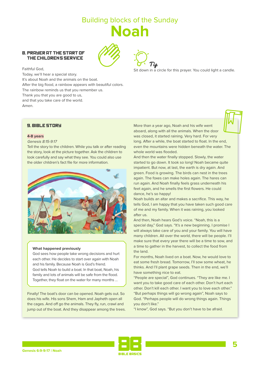#### 8. PRAYER AT THE START OF THE CHILDRENS SERVICE





Sit down in a circle for this prayer. You could light a candle.

Faithful God, Today, we'll hear a special story. It's about Noah and the animals on the boat. After the big flood, a rainbow appears with beautiful colors. The rainbow reminds us that you remember us. Thank you that you are good to us, and that you take care of the world. Amen.

#### 9. BIBLE STORY

#### **4-8 years**

#### Genesis 8:15-9:17

Tell the story to the children. While you talk or after reading the story, look at the picture together. Ask the children to look carefully and say what they see. You could also use the older children's fact file for more information.



#### **What happened previously**

God sees how people take wrong decisions and hurt each other. He decides to start over again with Noah and his family. Because Noah is God's friend. God tells Noah to build a boat. In that boat, Noah, his family and lots of animals will be safe from the flood. Together, they float on the water for many months …

Finally! The boat's door can be opened. Noah gets out. So does his wife. His sons Shem, Ham and Japheth open all the cages. And off go the animals. They fly, run, crawl and jump out of the boat. And they disappear among the trees. More than a year ago, Noah and his wife went aboard, along with all the animals. When the door was closed, it started raining. Very hard. For very long. After a while, the boat started to float. In the end, even the mountains were hidden beneath the water. The whole world was flooded.

And then the water finally stopped. Slowly, the water started to go down. It took so long! Noah became quite impatient. But now, at last, the earth is dry again. And green. Food is growing. The birds can nest in the trees again. The foxes can make holes again. The hares can run again. And Noah finally feels grass underneath his feet again, and he smells the first flowers. He could dance, he's so happy!

Noah builds an altar and makes a sacrifice. This way, he tells God, I am happy that you have taken such good care of me and my family. When it was raining, you looked after us.

And then, Noah hears God's voice. "Noah, this is a special day," God says. "It's a new beginning. I promise I will always take care of you and your family. You will have many children. All over the world, there will be people. I'll make sure that every year there will be a time to sow, and a time to gather in the harvest, to collect the food from the land.

For months, Noah lived on a boat. Now, he would love to eat some fresh bread. Tomorrow, I'll sow some wheat, he thinks. And I'll plant grape seeds. Then in the end, we'll have something nice to eat.

"People are special", God continues. "They are like me. I want you to take good care of each other. Don't hurt each other. Don't kill each other. I want you to love each other." "But perhaps things will go wrong again", Noah says to God. "Perhaps people will do wrong things again. Things you don't like."

"I know", God says. "But you don't have to be afraid.

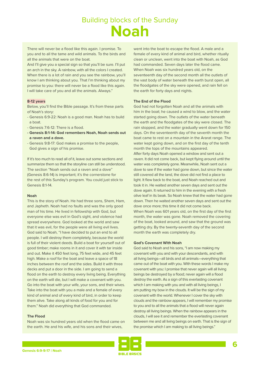There will never be a flood like this again. I promise. To you and to all the tame and wild animals. To the birds and all the animals that were on the boat.

And I'll give you a special sign so that you'll be sure. I'll put an arch in the sky. A rainbow, with all the colors I created. When there is a lot of rain and you see the rainbow, you'll know I am thinking about you. That I'm thinking about my promise to you: there will never be a flood like this again. I will take care of you and all the animals. Always."

#### **8-12 years**

Below, you'll find the Bible passage. It's from these parts of Noah's story:

- Genesis 6:9-22: Noah is a good man. Noah has to build a boat.
- Genesis 7:6-12: There is a flood.
- **Genesis 8:1-14: God remembers Noah, Noah sends out a raven and a dove.**
- Genesis 9:8-17: God makes a promise to the people, God gives a sign of his promise.

If it's too much to read all of it, leave out some sections and summarize them so that the storyline can still be understood. The section "Noah sends out a raven and a dove" (Genesis 8:6-14) is important; it's the cornerstone for the rest of this Sunday's program. You could just stick to Genesis 8:1-14.

#### **Noah**

This is the story of Noah. He had three sons, Shem, Ham, and Japheth. Noah had no faults and was the only good man of his time. He lived in fellowship with God, but everyone else was evil in God's sight, and violence had spread everywhere. God looked at the world and saw that it was evil, for the people were all living evil lives. God said to Noah, "I have decided to put an end to all people. I will destroy them completely, because the world is full of their violent deeds. Build a boat for yourself out of good timber; make rooms in it and cover it with tar inside and out. Make it 450 feet long, 75 feet wide, and 45 feet high. Make a roof for the boat and leave a space of 18 inches between the roof and the sides. Build it with three decks and put a door in the side. I am going to send a flood on the earth to destroy every living being. Everything on the earth will die, but I will make a covenant with you. Go into the boat with your wife, your sons, and their wives. Take into the boat with you a male and a female of every kind of animal and of every kind of bird, in order to keep them alive. Take along all kinds of food for you and for them." Noah did everything that God commanded.

#### **The Flood**

Noah was six hundred years old when the flood came on the earth. He and his wife, and his sons and their wives,

went into the boat to escape the flood. A male and a female of every kind of animal and bird, whether ritually clean or unclean, went into the boat with Noah, as God had commanded. Seven days later the flood came. When Noah was six hundred years old, on the seventeenth day of the second month all the outlets of the vast body of water beneath the earth burst open, all the floodgates of the sky were opened, and rain fell on the earth for forty days and nights.

#### **The End of the Flood**

God had not forgotten Noah and all the animals with him in the boat; he caused a wind to blow, and the water started going down. The outlets of the water beneath the earth and the floodgates of the sky were closed. The rain stopped, and the water gradually went down for 150 days. On the seventeenth day of the seventh month the boat came to rest on a mountain in the Ararat range. The water kept going down, and on the first day of the tenth month the tops of the mountains appeared. After forty days Noah opened a window and sent out a raven. It did not come back, but kept flying around until the water was completely gone. Meanwhile, Noah sent out a dove to see if the water had gone down, but since the water still covered all the land, the dove did not find a place to light. It flew back to the boat, and Noah reached out and took it in. He waited another seven days and sent out the dove again. It returned to him in the evening with a fresh olive leaf in its beak. So Noah knew that the water had gone down. Then he waited another seven days and sent out the dove once more; this time it did not come back. When Noah was 601 years old, on the first day of the first month, the water was gone. Noah removed the covering of the boat, looked around, and saw that the ground was getting dry. By the twenty-seventh day of the second month the earth was completely dry.

#### **God's Covenant With Noah**

God said to Noah and his sons, "I am now making my covenant with you and with your descendants, and with all living beings—all birds and all animals—everything that came out of the boat with you. With these words I make my covenant with you: I promise that never again will all living beings be destroyed by a flood; never again will a flood destroy the earth. As a sign of this everlasting covenant which I am making with you and with all living beings, I am putting my bow in the clouds. It will be the sign of my covenant with the world. Whenever I cover the sky with clouds and the rainbow appears, I will remember my promise to you and to all the animals that a flood will never again destroy all living beings. When the rainbow appears in the clouds, I will see it and remember the everlasting covenant between me and all living beings on earth. That is the sign of the promise which I am making to all living beings."

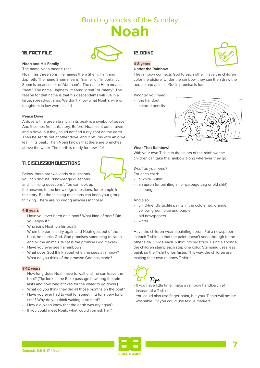#### 10. FACT FILE



The name Noah means: rest.

Noah has three sons. He names them Shem, Ham and Japheth. The name Shem means: "name" or "important". Shem is an ancestor of Abraham's. The name Ham means: "heat". The name "Japheth" means: "great" or "many". The reason for that name is that his descendants will live in a large, spread-out area. We don't know what Noah's wife or daughters-in-law were called.

#### **Peace Dove**

A dove with a green branch in its beak is a symbol of peace. And it comes from this story. Before, Noah sent out a raven and a dove, but they could not find a dry spot on the earth. Then he sends out another dove, and it returns with an olive leaf in its beak. Then Noah knows that there are branches above the water. The earth is ready for new life!

#### 11. DISCUSSION QUESTIONS



Below, there are two kinds of questions you can discuss: "knowledge questions" and "thinking questions". You can look up

the answers to the knowledge questions, for example in the story. But the thinking questions can keep your group thinking. There are no wrong answers in those!

#### **4-8 years**

- Have you ever been on a boat? What kind of boat? Did you enjoy it?
- Who joins Noah on his boat?
- When the earth is dry again and Noah gets out of the boat, he thanks God. God promises something to Noah and all the animals. What is the promise God makes?
- Have you ever seen a rainbow?
- What does God think about when he sees a rainbow? What do you think of the promise God has made?

#### **8-12 years**

- How long does Noah have to wait until he can leave the boat? (Tip: look in the Bible passage how long the rain lasts and how long it takes for the water to go down.)
- What do you think they did all those months on the boat?
- Have you ever had to wait for something for a very long time? Why do you think waiting is so hard?
- How did Noah know that the earth was dry again?
- If you could meet Noah, what would you ask him?

#### 12. DOING

#### **4-8 years**

#### **Under the Rainbow**

The rainbow connects God to each other. Have the children color the picture. Under the rainbow, they can then draw the people and animals God's promise is for.

#### What do you need?

#### - the handout

- colored pencils



#### **Wear That Rainbow!**

With your own T-shirt in the colors of the rainbow, the children can take the rainbow along wherever they go.

#### What do you need?

For each child:

- a white T-shirt
- an apron for painting in (or garbage bag or old shirt)
- a sponge

#### And also:

- child-friendly textile paints in the colors red, orange, yellow, green, blue and purple
- old newspapers
- water

Have the children wear a painting apron. Put a newspaper in each T-shirt so that the paint doesn't seep through to the other side. Divide each T-shirt into six strips. Using a sponge, the children stamp each strip one color. Stamping uses less paint, so the T-shirt dries faster. This way, the children are making their own rainbow T-shirts.



- If you have little time, make a rainbow handkerchief instead of a T-shirt.
- You could also use finger-paint, but your T-shirt will not be washable. Or you could use textile markers.



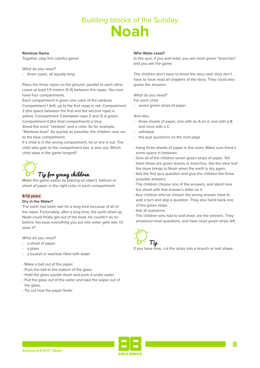#### **Rainbow Game**

Together, play this colorful game!

#### What do you need?

- three ropes, all equally long

Place the three ropes on the ground, parallel to each other. Leave at least 1.5 meters (5 ft) between the ropes. You now have four compartments.

Each compartment is given one color of the rainbow. Compartment 1 (left, up to the first rope) is red. Compartment 2 (the space between the first and the second rope) is yellow. Compartment 3 (between rope 2 and 3) is green. Compartment 4 (the final compartment) is blue.

Shout the word "rainbow" and a color. So for example, "Rainbow blue!" As quickly as possible, the children now run to the blue compartment.

If a child is in the wrong compartment, he or she is out. The child who gets to the compartment last, is also out. Which child stays in the game longest?

# Tip for young children

Make the game easier by placing an object, balloon or sheet of paper in the right color in each compartment.

#### **8-12 years**

#### **Dry in the Water?**

The earth had been wet for a long time because of all of the water. Fortunately, after a long time, the earth dried up. Noah could finally get out of the boat. He couldn't do so before, because everything you put into water gets wet. Or does it?

What do you need?

- a sheet of paper
- a glass
- a bucket or washtub filled with water
- Make a ball out of the paper.
- Push the ball to the bottom of the glass.
- Hold the glass upside down and push it under water.
- Pull the glass out of the water and take the paper out of the glass.
- Try out how the paper feels!

#### **Who Waits Least?**

In this quiz, if you wait least, you win most green "branches" and you win the game.

The children don't have to know the story well, they don't have to have read all chapters of the story. They could also guess the answers.

#### What do you need?

For each child:

- seven green strips of paper

#### And also:

- three sheets of paper, one with an A on it, one with a B and once with a C
- sellotane
- the quiz questions on the next page
- Hang three sheets of paper in the room. Make sure there's some space in between.
- Give all of the children seven green strips of paper. Tell them these are green leaves or branches, like the olive leaf the dove brings to Noah when the earth is dry again.
- Ask the first quiz question and give the children the three possible answers.
- The children choose one of the answers, and stand near the sheet with that answer's letter on it.
- Any children who've chosen the wrong answer have to wait a turn and skip a question. They also hand back one of the green strips.
- Ask all questions.
- The children who had to wait least, are the winners. They answered most questions, and have most green strips left.



If you have time, cut the strips into a branch or leaf shape.

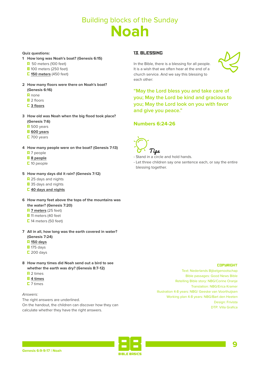#### **Quiz questions:**

- **1 How long was Noah's boat? (Genesis 6:15)**
	- $\overline{H}$  50 meters (100 feet)
	- **B** 100 meters (250 feet)
	- C **150 meters** (450 feet)
- **2 How many floors were there on Noah's boat? (Genesis 6:16)**
	- $\blacksquare$  none
	- **B** 2 floors
	-
	- C **3 floors**
- **3 How old was Noah when the big flood took place? (Genesis 7:6)**
	- **H** 500 years
	- B **600 years**
	- $\overline{C}$  700 years
- **4 How many people were on the boat? (Genesis 7:13)**
	- **H** 7 people
	- B **8 people**
	- L 10 people
- **5 How many days did it rain? (Genesis 7:12)**
	- **A** 25 days and nights
	- **B** 35 days and nights
	- C **40 days and nights**
- **6 How many feet above the tops of the mountains was the water? (Genesis 7:20)** 
	- **R** 7 meters (25 feet)
	- **B** 11 meters (40 feet
	- $\square$  14 meters (50 feet)
- **7 All in all, how long was the earth covered in water? (Genesis 7:24)**
	- A **150 days**
	- $B$  175 days
	- $\Box$  200 days
- **8 How many times did Noah send out a bird to see whether the earth was dry? (Genesis 8:7-12)**
	- $\overline{H}$  2 times
	- B **4 times**
	- C 7 times

Answers:

The right answers are underlined. On the handout, the children can discover how they can calculate whether they have the right answers.

#### 13. BLESSING



In the Bible, there is a blessing for all people. It is a wish that we often hear at the end of a church service. And we say this blessing to each other:

**"May the Lord bless you and take care of you; May the Lord be kind and gracious to you; May the Lord look on you with favor and give you peace."**

#### **Numbers 6:24-26**



- Stand in a circle and hold hands.
- Let three children say one sentence each, or say the entire blessing together.

#### **COPYRIGHT**

Text: Nederlands Bijbelgenootschap Bible passages: Good News Bible Retelling Bible story: NBG/Corine Oranje Translation: NBG/Erica Kramer Illustration 4-8 years: NBG/ Geeske van Voorthuijsen Working plan 4-8 years: NBG/Bart den Heeten Design: Frivista DTP: Villa Grafica

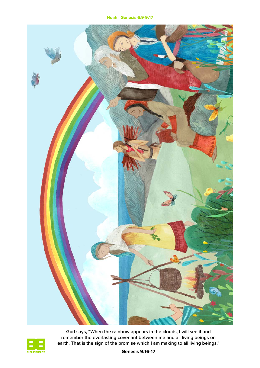**Noah | Genesis 6:9-9:17**





**God says, "When the rainbow appears in the clouds, I will see it and remember the everlasting covenant between me and all living beings on earth. That is the sign of the promise which I am making to all living beings."**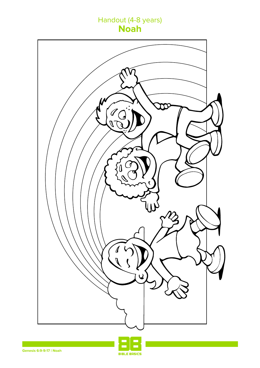### Handout (4-8 years) **Noah**



**BIBLE BASICS**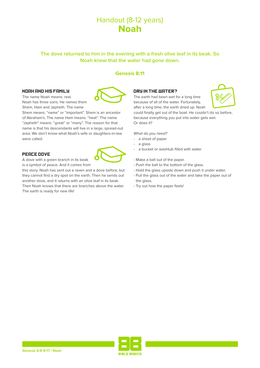### Handout (8-12 years) **Noah**

#### **The dove returned to him in the evening with a fresh olive leaf in its beak. So Noah knew that the water had gone down.**

#### **Genesis 8:11**

#### NOOH OND HIS FOMILY

The name Noah means: rest. Noah has three sons. He names them Shem, Ham and Japheth. The name

Shem means: "name" or "important". Shem is an ancestor of Abraham's. The name Ham means: "heat". The name "Japheth" means: "great" or "many". The reason for that name is that his descendants will live in a large, spread-out area. We don't know what Noah's wife or daughters-in-law were called.

#### PEACE DOVE

A dove with a green branch in its beak is a symbol of peace. And it comes from

this story. Noah has sent out a raven and a dove before, but they cannot find a dry spot on the earth. Then he sends out another dove, and it returns with an olive leaf in its beak. Then Noah knows that there are branches above the water. The earth is ready for new life!



The earth had been wet for a long time because of all of the water. Fortunately, after a long time, the earth dried up. Noah



could finally get out of the boat. He couldn't do so before, because everything you put into water gets wet. Or does it?

What do you need?

- a sheet of paper
- a glass
- a bucket or washtub filled with water
- Make a ball out of the paper.
- Push the ball to the bottom of the glass.
- Hold the glass upside down and push it under water.
- Pull the glass out of the water and take the paper out of the glass.
- Try out how the paper feels!



**RIBLE ROSICS**